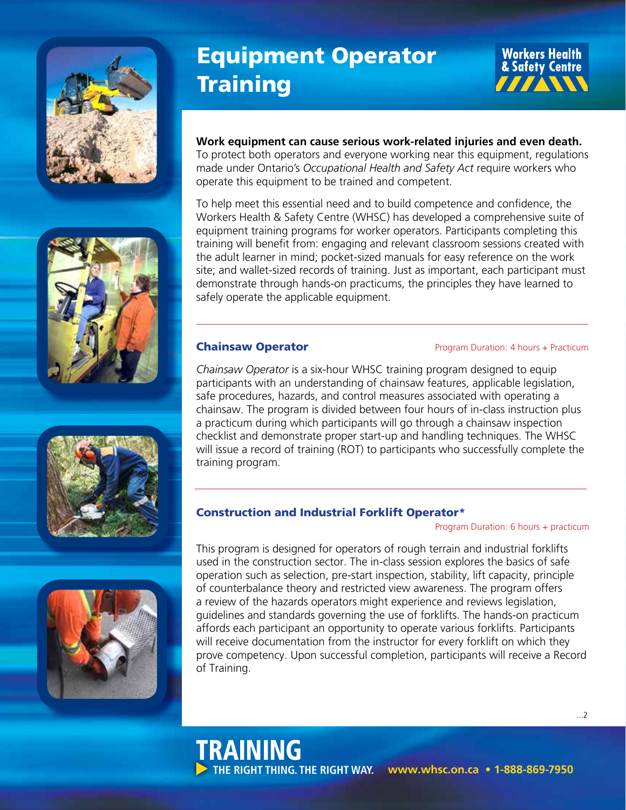







# Equipment Operator **Training**

**Workers Health** & Safety Centre 77AW

# **Work equipment can cause serious work-related injuries and even death.**

To protect both operators and everyone working near this equipment, regulations made under Ontario's *Occupational Health and Safety Act* require workers who operate this equipment to be trained and competent.

To help meet this essential need and to build competence and confidence, the Workers Health & Safety Centre (WHSC) has developed a comprehensive suite of equipment training programs for worker operators. Participants completing this training will benefit from: engaging and relevant classroom sessions created with the adult learner in mind; pocket-sized manuals for easy reference on the work site; and wallet-sized records of training. Just as important, each participant must demonstrate through hands-on practicums, the principles they have learned to safely operate the applicable equipment.

TRAINING

**THE RIGHT THING. THE RIGHT WAY.**

**Chainsaw Operator Program Duration: 4 hours + Practicum** 

*Chainsaw Operator* is a six-hour WHSC training program designed to equip participants with an understanding of chainsaw features, applicable legislation, safe procedures, hazards, and control measures associated with operating a chainsaw. The program is divided between four hours of in-class instruction plus a practicum during which participants will go through a chainsaw inspection checklist and demonstrate proper start-up and handling techniques. The WHSC will issue a record of training (ROT) to participants who successfully complete the training program.

# Construction and Industrial Forklift Operator\*

Program Duration: 6 hours + practicum

 **www.whsc.on.ca • 1-888-869-7950**

This program is designed for operators of rough terrain and industrial forklifts used in the construction sector. The in-class session explores the basics of safe operation such as selection, pre-start inspection, stability, lift capacity, principle of counterbalance theory and restricted view awareness. The program offers a review of the hazards operators might experience and reviews legislation, guidelines and standards governing the use of forklifts. The hands-on practicum affords each participant an opportunity to operate various forklifts. Participants will receive documentation from the instructor for every forklift on which they prove competency. Upon successful completion, participants will receive a Record of Training.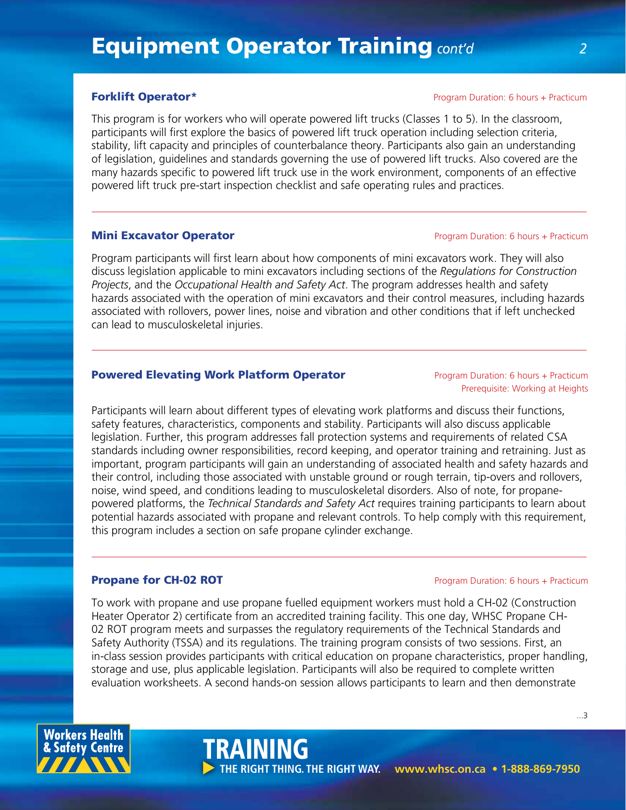**Forklift Operator\*** Program Duration: 6 hours + Practicum

This program is for workers who will operate powered lift trucks (Classes 1 to 5). In the classroom, participants will first explore the basics of powered lift truck operation including selection criteria, stability, lift capacity and principles of counterbalance theory. Participants also gain an understanding of legislation, guidelines and standards governing the use of powered lift trucks. Also covered are the many hazards specific to powered lift truck use in the work environment, components of an effective powered lift truck pre-start inspection checklist and safe operating rules and practices.

# **Mini Excavator Operator Program Duration: 6 hours + Practicum**

Program participants will first learn about how components of mini excavators work. They will also discuss legislation applicable to mini excavators including sections of the *Regulations for Construction Projects*, and the *Occupational Health and Safety Act*. The program addresses health and safety hazards associated with the operation of mini excavators and their control measures, including hazards associated with rollovers, power lines, noise and vibration and other conditions that if left unchecked can lead to musculoskeletal injuries.

# **Powered Elevating Work Platform Operator Election Concept Analysis Concept Practicum**

Prerequisite: Working at Heights

Participants will learn about different types of elevating work platforms and discuss their functions, safety features, characteristics, components and stability. Participants will also discuss applicable legislation. Further, this program addresses fall protection systems and requirements of related CSA standards including owner responsibilities, record keeping, and operator training and retraining. Just as important, program participants will gain an understanding of associated health and safety hazards and their control, including those associated with unstable ground or rough terrain, tip-overs and rollovers, noise, wind speed, and conditions leading to musculoskeletal disorders. Also of note, for propanepowered platforms, the *Technical Standards and Safety Act* requires training participants to learn about potential hazards associated with propane and relevant controls. To help comply with this requirement, this program includes a section on safe propane cylinder exchange.

### **Propane for CH-02 ROT Propane for CH-02 ROT Propane Propane Propane Propane Propane Propane Propane Propane Propane Propane Propane Propane Propane Propane Propane Propane Propane Propane Propane Propane Propane Propa**

To work with propane and use propane fuelled equipment workers must hold a CH-02 (Construction Heater Operator 2) certificate from an accredited training facility. This one day, WHSC Propane CH-02 ROT program meets and surpasses the regulatory requirements of the Technical Standards and Safety Authority (TSSA) and its regulations. The training program consists of two sessions. First, an in-class session provides participants with critical education on propane characteristics, proper handling, storage and use, plus applicable legislation. Participants will also be required to complete written evaluation worksheets. A second hands-on session allows participants to learn and then demonstrate

TRAINING



...3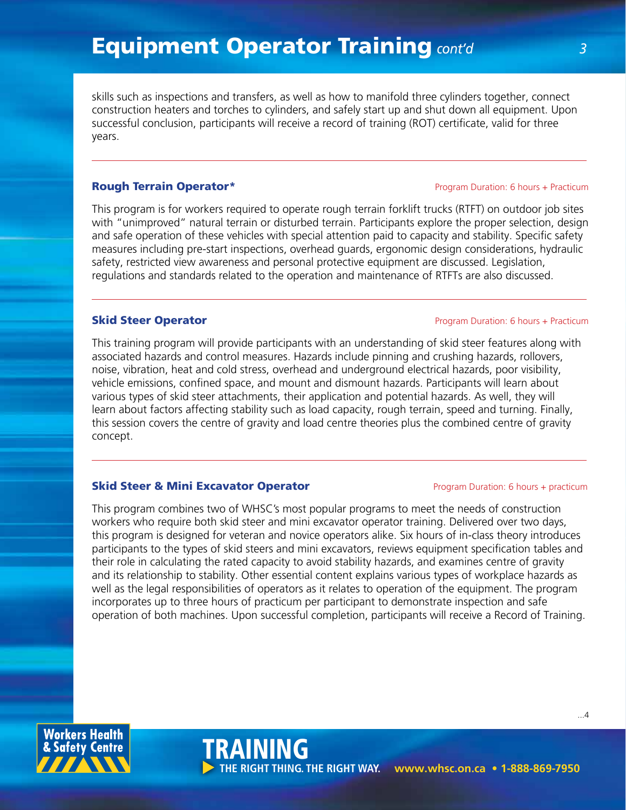skills such as inspections and transfers, as well as how to manifold three cylinders together, connect construction heaters and torches to cylinders, and safely start up and shut down all equipment. Upon successful conclusion, participants will receive a record of training (ROT) certificate, valid for three years.

This program is for workers required to operate rough terrain forklift trucks (RTFT) on outdoor job sites with "unimproved" natural terrain or disturbed terrain. Participants explore the proper selection, design and safe operation of these vehicles with special attention paid to capacity and stability. Specific safety measures including pre-start inspections, overhead guards, ergonomic design considerations, hydraulic safety, restricted view awareness and personal protective equipment are discussed. Legislation, regulations and standards related to the operation and maintenance of RTFTs are also discussed.

### **Skid Steer Operator Program Duration: 6 hours + Practicum**

This training program will provide participants with an understanding of skid steer features along with associated hazards and control measures. Hazards include pinning and crushing hazards, rollovers, noise, vibration, heat and cold stress, overhead and underground electrical hazards, poor visibility, vehicle emissions, confined space, and mount and dismount hazards. Participants will learn about various types of skid steer attachments, their application and potential hazards. As well, they will learn about factors affecting stability such as load capacity, rough terrain, speed and turning. Finally, this session covers the centre of gravity and load centre theories plus the combined centre of gravity concept.

### **Skid Steer & Mini Excavator Operator Program Duration: 6 hours + practicum**

TRAINING

This program combines two of WHSC's most popular programs to meet the needs of construction workers who require both skid steer and mini excavator operator training. Delivered over two days, this program is designed for veteran and novice operators alike. Six hours of in-class theory introduces participants to the types of skid steers and mini excavators, reviews equipment specification tables and their role in calculating the rated capacity to avoid stability hazards, and examines centre of gravity and its relationship to stability. Other essential content explains various types of workplace hazards as well as the legal responsibilities of operators as it relates to operation of the equipment. The program incorporates up to three hours of practicum per participant to demonstrate inspection and safe operation of both machines. Upon successful completion, participants will receive a Record of Training.



...4

 **www.whsc.on.ca • 1-888-869-7950 THE RIGHT THING. THE RIGHT WAY.**

### **Rough Terrain Operator\* Program Duration: 6 hours + Practicum** Program Duration: 6 hours + Practicum